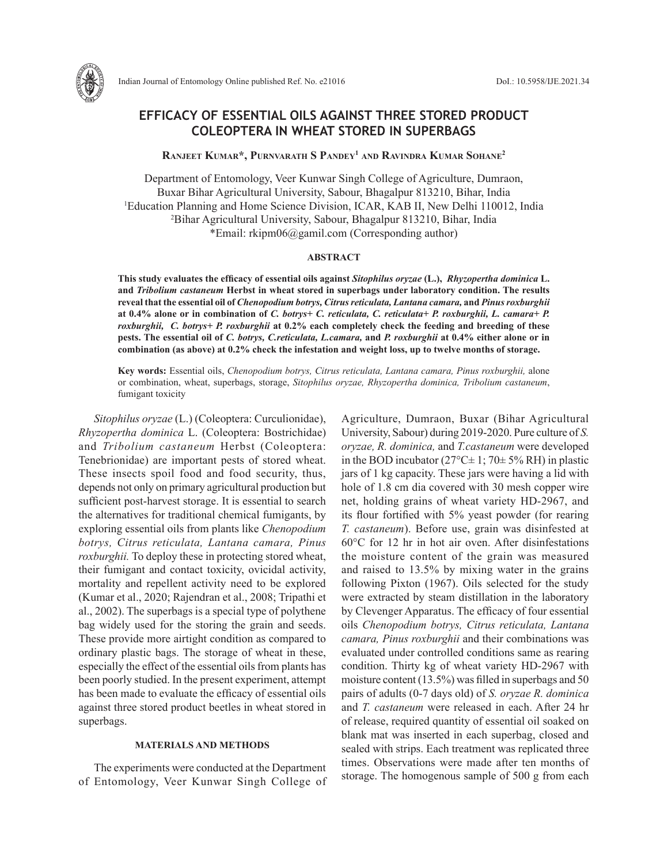

Indian Journal of Entomology Online published Ref. No. e21016 DoI.: 10.5958/IJE.2021.34

# **EFFICACY OF ESSENTIAL OILS AGAINST THREE STORED PRODUCT COLEOPTERA IN WHEAT STORED IN SUPERBAGS**

## **Ranjeet Kumar\*, Purnvarath S Pandey1 and Ravindra Kumar Sohane2**

Department of Entomology, Veer Kunwar Singh College of Agriculture, Dumraon, Buxar Bihar Agricultural University, Sabour, Bhagalpur 813210, Bihar, India 1 Education Planning and Home Science Division, ICAR, KAB II, New Delhi 110012, India 2 Bihar Agricultural University, Sabour, Bhagalpur 813210, Bihar, India \*Email: rkipm06@gamil.com (Corresponding author)

#### **ABSTRACT**

**This study evaluates the efficacy of essential oils against** *Sitophilus oryzae* **(L.),** *Rhyzopertha dominica* **L. and** *Tribolium castaneum* **Herbst in wheat stored in superbags under laboratory condition. The results reveal that the essential oil of** *Chenopodium botrys, Citrus reticulata, Lantana camara,* **and** *Pinus roxburghii* **at 0.4% alone or in combination of** *C. botrys+ C. reticulata, C. reticulata+ P. roxburghii, L. camara+ P. roxburghii, C. botrys+ P. roxburghii* **at 0.2% each completely check the feeding and breeding of these pests. The essential oil of** *C. botrys, C.reticulata, L.camara,* **and** *P. roxburghii* **at 0.4% either alone or in combination (as above) at 0.2% check the infestation and weight loss, up to twelve months of storage.**

**Key words:** Essential oils, *Chenopodium botrys, Citrus reticulata, Lantana camara, Pinus roxburghii,* alone or combination, wheat, superbags, storage, *Sitophilus oryzae, Rhyzopertha dominica, Tribolium castaneum*, fumigant toxicity

*Sitophilus oryzae* (L.) (Coleoptera: Curculionidae), *Rhyzopertha dominica* L. (Coleoptera: Bostrichidae) and *Tribolium castaneum* Herbst (Coleoptera: Tenebrionidae) are important pests of stored wheat. These insects spoil food and food security, thus, depends not only on primary agricultural production but sufficient post-harvest storage. It is essential to search the alternatives for traditional chemical fumigants, by exploring essential oils from plants like *Chenopodium botrys, Citrus reticulata, Lantana camara, Pinus roxburghii.* To deploy these in protecting stored wheat, their fumigant and contact toxicity, ovicidal activity, mortality and repellent activity need to be explored (Kumar et al., 2020; Rajendran et al., 2008; Tripathi et al., 2002). The superbags is a special type of polythene bag widely used for the storing the grain and seeds. These provide more airtight condition as compared to ordinary plastic bags. The storage of wheat in these, especially the effect of the essential oils from plants has been poorly studied. In the present experiment, attempt has been made to evaluate the efficacy of essential oils against three stored product beetles in wheat stored in superbags.

#### **MATERIALS AND METHODS**

The experiments were conducted at the Department of Entomology, Veer Kunwar Singh College of Agriculture, Dumraon, Buxar (Bihar Agricultural University, Sabour) during 2019-2020. Pure culture of *S. oryzae, R. dominica,* and *T.castaneum* were developed in the BOD incubator ( $27^{\circ}$ C $\pm$  1;  $70\pm 5\%$  RH) in plastic jars of 1 kg capacity. These jars were having a lid with hole of 1.8 cm dia covered with 30 mesh copper wire net, holding grains of wheat variety HD-2967, and its flour fortified with 5% yeast powder (for rearing *T. castaneum*). Before use, grain was disinfested at 60°C for 12 hr in hot air oven. After disinfestations the moisture content of the grain was measured and raised to 13.5% by mixing water in the grains following Pixton (1967). Oils selected for the study were extracted by steam distillation in the laboratory by Clevenger Apparatus. The efficacy of four essential oils *Chenopodium botrys, Citrus reticulata, Lantana camara, Pinus roxburghii* and their combinations was evaluated under controlled conditions same as rearing condition. Thirty kg of wheat variety HD-2967 with moisture content (13.5%) was filled in superbags and 50 pairs of adults (0-7 days old) of *S. oryzae R. dominica* and *T. castaneum* were released in each. After 24 hr of release, required quantity of essential oil soaked on blank mat was inserted in each superbag, closed and sealed with strips. Each treatment was replicated three times. Observations were made after ten months of storage. The homogenous sample of 500 g from each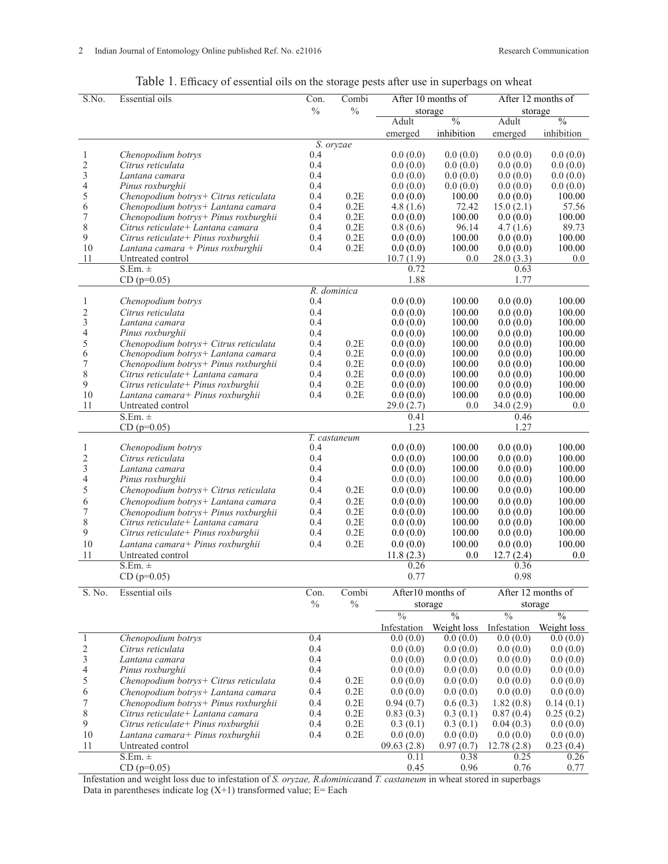| Table 1. Efficacy of essential oils on the storage pests after use in superbags on wheat |  |
|------------------------------------------------------------------------------------------|--|
|                                                                                          |  |

| S.No.                    | <b>Essential oils</b>                                                      | Con.          | Combi           | After 10 months of      |                          | After 12 months of       |                          |
|--------------------------|----------------------------------------------------------------------------|---------------|-----------------|-------------------------|--------------------------|--------------------------|--------------------------|
|                          |                                                                            | $\frac{0}{0}$ | $\frac{0}{0}$   | storage                 |                          | storage                  |                          |
|                          |                                                                            |               |                 | Adult                   | $\overline{\frac{0}{0}}$ | Adult                    | $\overline{\frac{0}{0}}$ |
|                          |                                                                            |               |                 | emerged                 | inhibition               | emerged                  | inhibition               |
| 1                        | Chenopodium botrys                                                         | 0.4           | S. oryzae       | 0.0(0.0)                | 0.0(0.0)                 | 0.0(0.0)                 | 0.0(0.0)                 |
| $\overline{c}$           | Citrus reticulata                                                          | 0.4           |                 | 0.0(0.0)                | 0.0(0.0)                 | 0.0(0.0)                 | 0.0(0.0)                 |
| 3                        | Lantana camara                                                             | 0.4           |                 | 0.0(0.0)                | 0.0(0.0)                 | 0.0(0.0)                 | 0.0(0.0)                 |
| $\overline{\mathcal{L}}$ | Pinus roxburghii                                                           | 0.4           |                 | 0.0(0.0)                | 0.0(0.0)                 | 0.0(0.0)                 | 0.0(0.0)                 |
| $\frac{5}{6}$            | Chenopodium botrys+ Citrus reticulata                                      | 0.4           | 0.2E            | 0.0(0.0)                | 100.00                   | 0.0(0.0)                 | 100.00                   |
|                          | Chenopodium botrys+ Lantana camara                                         | 0.4           | 0.2E            | 4.8(1.6)                | 72.42                    | 15.0(2.1)                | 57.56                    |
| $\sqrt{ }$               | Chenopodium botrys+ Pinus roxburghii                                       | 0.4           | 0.2E            | 0.0(0.0)                | 100.00                   | 0.0(0.0)                 | 100.00                   |
| 8                        | Citrus reticulate+ Lantana camara                                          | 0.4           | 0.2E            | 0.8(0.6)                | 96.14                    | 4.7(1.6)                 | 89.73                    |
| 9                        | Citrus reticulate+ Pinus roxburghii                                        | 0.4           | $0.2\mathrm{E}$ | 0.0(0.0)                | 100.00                   | 0.0(0.0)                 | 100.00                   |
| 10<br>11                 | Lantana camara + Pinus roxburghii<br>Untreated control                     | 0.4           | 0.2E            | 0.0(0.0)<br>10.7(1.9)   | 100.00<br>0.0            | 0.0(0.0)<br>28.0(3.3)    | 100.00<br>0.0            |
|                          | $S.Em. \pm$                                                                |               |                 | 0.72                    |                          | 0.63                     |                          |
|                          | $CD (p=0.05)$                                                              |               |                 | 1.88                    |                          | 1.77                     |                          |
|                          |                                                                            | R. dominica   |                 |                         |                          |                          |                          |
| 1                        | Chenopodium botrys                                                         | 0.4           |                 | 0.0(0.0)                | 100.00                   | 0.0(0.0)                 | 100.00                   |
| $\overline{c}$           | Citrus reticulata                                                          | 0.4           |                 | 0.0(0.0)                | 100.00                   | 0.0(0.0)                 | 100.00                   |
| $\mathfrak{Z}$           | Lantana camara                                                             | 0.4           |                 | 0.0(0.0)                | 100.00                   | 0.0(0.0)                 | 100.00                   |
| $\overline{4}$           | Pinus roxburghii                                                           | 0.4           |                 | 0.0(0.0)                | 100.00                   | 0.0(0.0)                 | 100.00                   |
| 5                        | Chenopodium botrys+ Citrus reticulata                                      | 0.4           | 0.2E            | 0.0(0.0)                | 100.00                   | 0.0(0.0)                 | 100.00                   |
| 6                        | Chenopodium botrys+ Lantana camara                                         | 0.4           | 0.2E            | 0.0(0.0)                | 100.00                   | 0.0(0.0)                 | 100.00                   |
| $\boldsymbol{7}$         | Chenopodium botrys+ Pinus roxburghii                                       | 0.4           | 0.2E            | 0.0(0.0)                | 100.00                   | 0.0(0.0)                 | 100.00                   |
| 8<br>9                   | Citrus reticulate+ Lantana camara<br>Citrus reticulate+ Pinus roxburghii   | 0.4<br>0.4    | 0.2E<br>0.2E    | 0.0(0.0)                | 100.00<br>100.00         | 0.0(0.0)                 | 100.00<br>100.00         |
| 10                       | Lantana camara+ Pinus roxburghii                                           | 0.4           | 0.2E            | 0.0(0.0)<br>0.0(0.0)    | 100.00                   | 0.0(0.0)<br>0.0(0.0)     | $100.00\,$               |
| 11                       | Untreated control                                                          |               |                 | 29.0(2.7)               | 0.0                      | 34.0(2.9)                | 0.0                      |
|                          | $S.Em. \pm$                                                                |               |                 | 0.41                    |                          | 0.46                     |                          |
|                          | $CD (p=0.05)$                                                              |               |                 | 1.23                    |                          | 1.27                     |                          |
|                          |                                                                            |               | T. castaneum    |                         |                          |                          |                          |
| 1                        | Chenopodium botrys                                                         | 0.4           |                 | 0.0(0.0)                | 100.00                   | 0.0(0.0)                 | 100.00                   |
| $\overline{c}$           | Citrus reticulata                                                          | 0.4           |                 | 0.0(0.0)                | 100.00                   | 0.0(0.0)                 | 100.00                   |
| 3                        | Lantana camara                                                             | 0.4           |                 | 0.0(0.0)                | 100.00                   | 0.0(0.0)                 | 100.00                   |
| $\overline{4}$           | Pinus roxburghii                                                           | 0.4           |                 | 0.0(0.0)                | 100.00                   | 0.0(0.0)                 | 100.00                   |
| 5                        | Chenopodium botrys+ Citrus reticulata                                      | 0.4           | 0.2E            | 0.0(0.0)                | 100.00                   | 0.0(0.0)                 | 100.00                   |
| 6                        | Chenopodium botrys+ Lantana camara                                         | 0.4           | 0.2E            | 0.0(0.0)                | 100.00                   | 0.0(0.0)                 | 100.00                   |
| $\boldsymbol{7}$<br>8    | Chenopodium botrys+ Pinus roxburghii<br>Citrus reticulate + Lantana camara | 0.4<br>0.4    | 0.2E<br>0.2E    | 0.0(0.0)<br>0.0(0.0)    | 100.00<br>100.00         | 0.0(0.0)<br>0.0(0.0)     | 100.00<br>100.00         |
| 9                        | Citrus reticulate+ Pinus roxburghii                                        | 0.4           | 0.2E            | 0.0(0.0)                | 100.00                   | 0.0(0.0)                 | 100.00                   |
| 10                       | Lantana camara+ Pinus roxburghii                                           | 0.4           | 0.2E            | 0.0(0.0)                | 100.00                   | 0.0(0.0)                 | 100.00                   |
| 11                       | Untreated control                                                          |               |                 | 11.8(2.3)               | 0.0                      | 12.7(2.4)                | 0.0                      |
|                          | $S.Em. \pm$                                                                |               |                 | 0.26                    |                          | 0.36                     |                          |
|                          | $CD (p=0.05)$                                                              |               |                 | 0.77                    |                          | 0.98                     |                          |
| S. No.                   | <b>Essential oils</b>                                                      | Con.          | Combi           | After10 months of       |                          | After 12 months of       |                          |
|                          |                                                                            | $\%$          | $\%$            | storage                 |                          | storage                  |                          |
|                          |                                                                            |               |                 | $\frac{0}{6}$           | $\overline{\frac{0}{0}}$ | $\overline{\frac{0}{0}}$ | $\overline{\frac{0}{0}}$ |
|                          |                                                                            |               |                 |                         |                          |                          |                          |
| $\mathbf{1}$             | Chenopodium botrys                                                         | 0.4           |                 | Infestation<br>0.0(0.0) | Weight loss<br>0.0(0.0)  | Infestation<br>0.0(0.0)  | Weight loss<br>0.0(0.0)  |
| $\overline{c}$           | Citrus reticulata                                                          | 0.4           |                 | 0.0(0.0)                | 0.0(0.0)                 | 0.0(0.0)                 | 0.0(0.0)                 |
| 3                        | Lantana camara                                                             | 0.4           |                 | 0.0(0.0)                | 0.0(0.0)                 | 0.0(0.0)                 | 0.0(0.0)                 |
| 4                        | Pinus roxburghii                                                           | 0.4           |                 | 0.0(0.0)                | 0.0(0.0)                 | 0.0(0.0)                 | 0.0(0.0)                 |
| 5                        | Chenopodium botrys+ Citrus reticulata                                      | 0.4           | 0.2E            | 0.0(0.0)                | 0.0(0.0)                 | 0.0(0.0)                 | 0.0(0.0)                 |
| 6                        | Chenopodium botrys+ Lantana camara                                         | 0.4           | 0.2E            | 0.0(0.0)                | 0.0(0.0)                 | 0.0(0.0)                 | 0.0(0.0)                 |
| 7                        | Chenopodium botrys+ Pinus roxburghii                                       | 0.4           | 0.2E            | 0.94(0.7)               | 0.6(0.3)                 | 1.82(0.8)                | 0.14(0.1)                |
| $\,$ $\,$                | Citrus reticulate+ Lantana camara                                          | 0.4           | 0.2E            | 0.83(0.3)               | 0.3(0.1)                 | 0.87(0.4)                | 0.25(0.2)                |
| 9                        | Citrus reticulate+ Pinus roxburghii                                        | 0.4           | 0.2E            | 0.3(0.1)                | 0.3(0.1)                 | 0.04(0.3)                | 0.0(0.0)                 |
| 10                       | Lantana camara+ Pinus roxburghii                                           | 0.4           | 0.2E            | 0.0(0.0)                | 0.0(0.0)                 | 0.0(0.0)                 | 0.0(0.0)                 |
| 11                       | Untreated control                                                          |               |                 | 09.63(2.8)              | 0.97(0.7)                | 12.78(2.8)               | 0.23(0.4)                |
|                          | $S.Em. \pm$                                                                |               |                 | 0.11                    | 0.38                     | 0.25                     | 0.26                     |
|                          | $CD (p=0.05)$                                                              |               |                 | 0.45                    | 0.96                     | 0.76                     | 0.77                     |

Infestation and weight loss due to infestation of *S. oryzae, R.dominica*and *T. castaneum* in wheat stored in superbags Data in parentheses indicate log (X+1) transformed value; E= Each